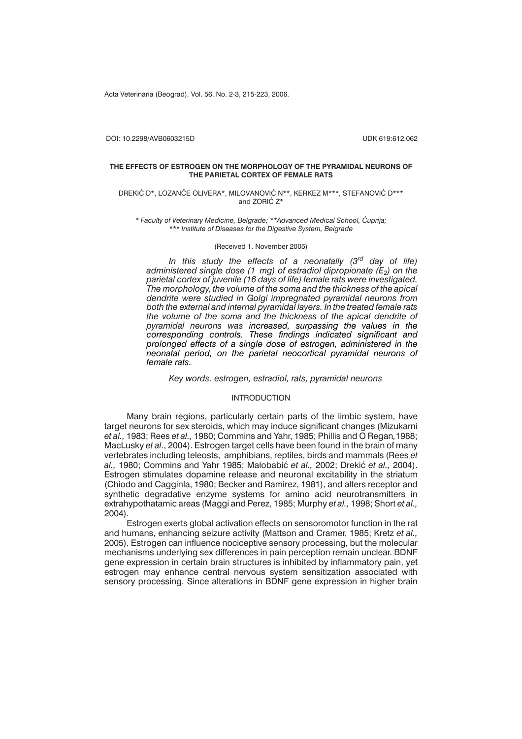Acta Veterinaria (Beograd), Vol. 56, No. 2-3, 215-223, 2006.

DOI: 10.2298/AVB0603215D UDK 619:612.062

#### **THE EFFECTS OF ESTROGEN ON THE MORPHOLOGY OF THE PYRAMIDAL NEURONS OF THE PARIETAL CORTEX OF FEMALE RATS**

#### DREKIĆ D\*, LOZANČE OLIVERA\*, MILOVANOVIĆ N\*\*, KERKEZ M\*\*\*, STEFANOVIĆ D\*\*\* and  $ZORI$  $C$   $Z^*$

\* Faculty of Veterinary Medicine, Belgrade; \*\*Advanced Medical School, Ćuprija; *\*\*\* Institute of Diseases for the Digestive System, Belgrade*

#### (Received 1. November 2005)

*In this study the effects of a neonatally (3rd day of life) administered single dose (1 mg) of estradiol dipropionate (E<sub>2</sub>) on the parietal cortex of juvenile (16 days of life) female rats were investigated. The morphology, the volume of the soma and the thickness of the apical dendrite were studied in Golgi impregnated pyramidal neurons from both the external and internal pyramidal layers. In the treated female rats the volume of the soma and the thickness of the apical dendrite of pyramidal neurons was increased, surpassing the values in the corresponding controls. These findings indicated significant and prolonged effects of a single dose of estrogen, administered in the neonatal period, on the parietal neocortical pyramidal neurons of female rats.*

*Key words. estrogen, estradiol, rats, pyramidal neurons*

## INTRODUCTION

Many brain regions, particularly certain parts of the limbic system, have target neurons for sex steroids, which may induce significant changes (Mizukarni *et al.,* 1983; Rees *et al.,* 1980; Commins and Yahr, 1985; Phillis and O Regan*,*1988; MacLusky *et al*., 2004). Estrogen target cells have been found in the brain of many vertebrates including teleosts, amphibians, reptiles, birds and mammals (Rees *et al.,* 1980; Commins and Yahr 1985; Malobabić *et al.,* 2002; Drekić *et al.,* 2004). Estrogen stimulates dopamine release and neuronal excitability in the striatum (Chiodo and Cagginla, 1980; Becker and Ramirez, 1981), and alters receptor and synthetic degradative enzyme systems for amino acid neurotransmitters in extrahypothatamic areas (Maggi and Perez, 1985; Murphy *et al.,* 1998; Short *et al.,* 2004).

Estrogen exerts global activation effects on sensoromotor function in the rat and humans, enhancing seizure activity (Mattson and Cramer, 1985; Kretz *et al.,* 2005). Estrogen can influence nociceptive sensory processing, but the molecular mechanisms underlying sex differences in pain perception remain unclear. BDNF gene expression in certain brain structures is inhibited by inflammatory pain, yet estrogen may enhance central nervous system sensitization associated with sensory processing. Since alterations in BDNF gene expression in higher brain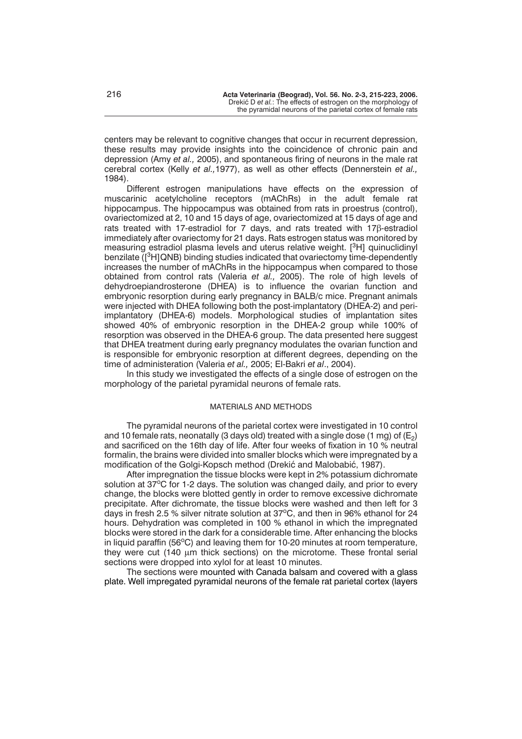centers may be relevant to cognitive changes that occur in recurrent depression, these results may provide insights into the coincidence of chronic pain and depression (Amy *et al.,* 2005), and spontaneous firing of neurons in the male rat cerebral cortex (Kelly *et al.,*1977), as well as other effects (Dennerstein *et al.,* 1984).

Different estrogen manipulations have effects on the expression of muscarinic acetylcholine receptors (mAChRs) in the adult female rat hippocampus. The hippocampus was obtained from rats in proestrus (control), ovariectomized at 2, 10 and 15 days of age, ovariectomized at 15 days of age and rats treated with 17-estradiol for 7 days, and rats treated with  $17\beta$ -estradiol immediately after ovariectomy for 21 days. Rats estrogen status was monitored by measuring estradiol plasma levels and uterus relative weight.  $[3H]$  quinuclidinyl benzilate  $(I<sup>3</sup>H)$ QNB) binding studies indicated that ovariectomy time-dependently increases the number of mAChRs in the hippocampus when compared to those obtained from control rats (Valeria *et al.,* 2005). The role of high levels of dehydroepiandrosterone (DHEA) is to influence the ovarian function and embryonic resorption during early pregnancy in BALB/c mice. Pregnant animals were injected with DHEA following both the post-implantatory (DHEA-2) and periimplantatory (DHEA-6) models. Morphological studies of implantation sites showed 40% of embryonic resorption in the DHEA-2 group while 100% of resorption was observed in the DHEA-6 group. The data presented here suggest that DHEA treatment during early pregnancy modulates the ovarian function and is responsible for embryonic resorption at different degrees, depending on the time of administeration (Valeria *et al.,* 2005; El-Bakri *et al*., 2004).

In this study we investigated the effects of a single dose of estrogen on the morphology of the parietal pyramidal neurons of female rats.

# MATERIALS AND METHODS

The pyramidal neurons of the parietal cortex were investigated in 10 control and 10 female rats, neonatally (3 days old) treated with a single dose (1 mg) of  $(E_2)$ and sacrificed on the 16th day of life. After four weeks of fixation in 10 % neutral formalin, the brains were divided into smaller blocks which were impregnated by a modification of the Golgi-Kopsch method (Drekić and Malobabić, 1987).

After impregnation the tissue blocks were kept in 2% potassium dichromate solution at 37°C for 1-2 days. The solution was changed daily, and prior to every change, the blocks were blotted gently in order to remove excessive dichromate precipitate. After dichromate, the tissue blocks were washed and then left for 3 days in fresh 2.5 % silver nitrate solution at 37°C, and then in 96% ethanol for 24 hours. Dehydration was completed in 100 % ethanol in which the impregnated blocks were stored in the dark for a considerable time. After enhancing the blocks in liquid paraffin (56 $^{\circ}$ C) and leaving them for 10-20 minutes at room temperature, they were cut (140 µm thick sections) on the microtome. These frontal serial sections were dropped into xylol for at least 10 minutes.

The sections were mounted with Canada balsam and covered with a glass plate. Well impregated pyramidal neurons of the female rat parietal cortex (layers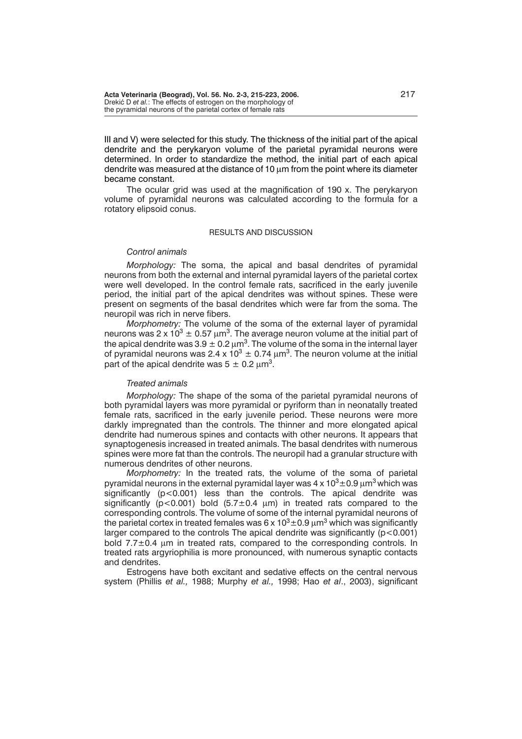III and V) were selected for this study. The thickness of the initial part of the apical dendrite and the perykaryon volume of the parietal pyramidal neurons were determined. In order to standardize the method, the initial part of each apical dendrite was measured at the distance of 10  $\mu$ m from the point where its diameter became constant.

The ocular grid was used at the magnification of 190 x. The perykaryon volume of pyramidal neurons was calculated according to the formula for a rotatory elipsoid conus.

# RESULTS AND DISCUSSION

### *Control animals*

*Morphology:* The soma, the apical and basal dendrites of pyramidal neurons from both the external and internal pyramidal layers of the parietal cortex were well developed. In the control female rats, sacrificed in the early juvenile period, the initial part of the apical dendrites was without spines. These were present on segments of the basal dendrites which were far from the soma. The neuropil was rich in nerve fibers.

*Morphometry:* The volume of the soma of the external layer of pyramidal neurons was 2 x 10 $^3$   $\pm$  0.57  $\mu$ m $^3$ . The average neuron volume at the initial part of the apical dendrite was 3.9  $\pm$  0.2  $\mu$ m $^3$ . The volume of the soma in the internal layer of pyramidal neurons was 2.4 x 10 $^3$   $\pm$  0.74  $\mu$ m $^3$ . The neuron volume at the initial part of the apical dendrite was  $5 \pm 0.2 \ \mu m^3$ .

## *Treated animals*

*Morphology:* The shape of the soma of the parietal pyramidal neurons of both pyramidal layers was more pyramidal or pyriform than in neonatally treated female rats, sacrificed in the early juvenile period. These neurons were more darkly impregnated than the controls. The thinner and more elongated apical dendrite had numerous spines and contacts with other neurons. It appears that synaptogenesis increased in treated animals. The basal dendrites with numerous spines were more fat than the controls. The neuropil had a granular structure with numerous dendrites of other neurons.

*Morphometry:* In the treated rats, the volume of the soma of parietal pyramidal neurons in the external pyramidal layer was 4 x 10 $^3$ ±0.9  $\mu$ m $^3$  which was significantly (p<0.001) less than the controls. The apical dendrite was significantly (p<0.001) bold (5.7 $\pm$ 0.4  $\mu$ m) in treated rats compared to the corresponding controls. The volume of some of the internal pyramidal neurons of the parietal cortex in treated females was 6 x 10 $^3$ ±0.9  $\mu$ m $^3$  which was significantly larger compared to the controls The apical dendrite was significantly  $(p<0.001)$ bold 7.7±0.4 µm in treated rats, compared to the corresponding controls. In treated rats argyriophilia is more pronounced, with numerous synaptic contacts and dendrites.

Estrogens have both excitant and sedative effects on the central nervous system (Phillis *et al.,* 1988; Murphy *et al.,* 1998; Hao *et al*., 2003), significant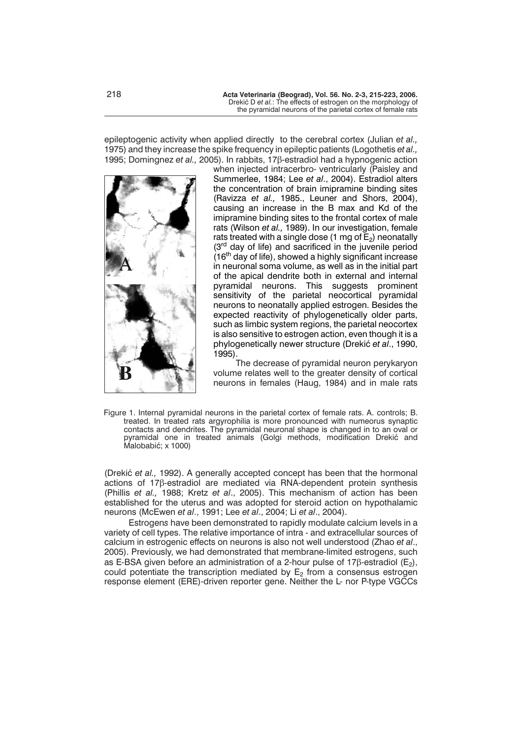epileptogenic activity when applied directly to the cerebral cortex (Julian *et al.,* 1975) and they increase the spike frequency in epileptic patients (Logothetis *et al.,* 1995; Domingnez et al., 2005). In rabbits, 17<sub>B</sub>-estradiol had a hypnogenic action



when injected intracerbro- ventricularly (Paisley and Summerlee, 1984; Lee *et al*., 2004). Estradiol alters the concentration of brain imipramine binding sites (Ravizza *et al.,* 1985., Leuner and Shors, 2004), causing an increase in the B max and Kd of the imipramine binding sites to the frontal cortex of male rats (Wilson *et al.,* 1989). In our investigation, female rats treated with a single dose (1 mg of  $E_2$ ) neonatally (3<sup>rd</sup> day of life) and sacrificed in the juvenile period  $(16<sup>th</sup>$  day of life), showed a highly significant increase in neuronal soma volume, as well as in the initial part of the apical dendrite both in external and internal pyramidal neurons. This suggests prominent sensitivity of the parietal neocortical pyramidal neurons to neonatally applied estrogen. Besides the expected reactivity of phylogenetically older parts, such as limbic system regions, the parietal neocortex is also sensitive to estrogen action, even though it is a phylogenetically newer structure (Drekić et al., 1990, 1995).

The decrease of pyramidal neuron perykaryon volume relates well to the greater density of cortical neurons in females (Haug, 1984) and in male rats

Figure 1. Internal pyramidal neurons in the parietal cortex of female rats. A. controls; B. treated. In treated rats argyrophilia is more pronounced with numeorus synaptic contacts and dendrites. The pyramidal neuronal shape is changed in to an oval or pyramidal one in treated animals (Golgi methods, modification Drekić and Malobabić; x 1000)

(Drekić et al., 1992). A generally accepted concept has been that the hormonal actions of  $17\beta$ -estradiol are mediated via RNA-dependent protein synthesis (Phillis *et al.,* 1988; Kretz *et al*., 2005). This mechanism of action has been established for the uterus and was adopted for steroid action on hypothalamic neurons (McEwen *et al*., 1991; Lee *et al*., 2004; Li *et al*., 2004).

Estrogen*s* have been demonstrated to rapidly modulate calcium levels in a variety of cell types. The relative importance of intra - and extracellular sources of calcium in estrogenic effects on neurons is also not well understood (Zhao *et al*., 2005). Previously, we had demonstrated that membrane-limited estrogen*s*, such as E-BSA given before an administration of a 2-hour pulse of 17 $\beta$ -estradiol (E<sub>2</sub>), could potentiate the transcription mediated by  $E_2$  from a consensus estrogen response element (ERE)-driven reporter gene. Neither the L- nor P-type VGCCs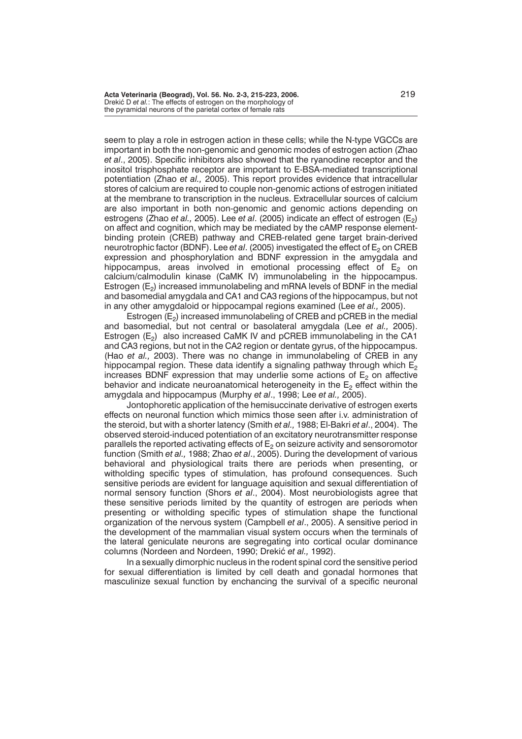**Acta Veterinaria (Beograd), Vol. 56. No. 2-3, 215-223, 2006.** 219 Drekić D et al.: The effects of estrogen on the morphology of the pyramidal neurons of the parietal cortex of female rats

seem to play a role in estrogen action in these cells; while the N-type VGCCs are important in both the non-genomic and genomic modes of estrogen action (Zhao *et al*., 2005). Specific inhibitors also showed that the ryanodine receptor and the inositol trisphosphate receptor are important to E-BSA-mediated transcriptional potentiation (Zhao *et al.,* 2005). This report provides evidence that intracellular stores of calcium are required to couple non-genomic actions of estrogen initiated at the membrane to transcription in the nucleus. Extracellular sources of calcium are also important in both non-genomic and genomic actions depending on estrogen*s* (Zhao *et al.,* 2005). Lee *et al*. (2005) indicate an effect of estrogen (E2) on affect and cognition, which may be mediated by the cAMP response elementbinding protein (CREB) pathway and CREB-related gene target brain-derived neurotrophic factor (BDNF). Lee *et al.* (2005) investigated the effect of E<sub>2</sub> on CREB expression and phosphorylation and BDNF expression in the amygdala and hippocampus, areas involved in emotional processing effect of  $E_2$  on calcium/calmodulin kinase (CaMK IV) immunolabeling in the hippocampus. Estrogen  $(E_2)$  increased immunolabeling and mRNA levels of BDNF in the medial and basomedial amygdala and CA1 and CA3 regions of the hippocampus, but not in any other amygdaloid or hippocampal regions examined (Lee *et al.,* 2005).

Estrogen (E<sub>2</sub>) increased immunolabeling of CREB and pCREB in the medial and basomedial, but not central or basolateral amygdala (Lee *et al.,* 2005). Estrogen  $(E_2)$  also increased CaMK IV and pCREB immunolabeling in the CA1 and CA3 regions, but not in the CA2 region or dentate gyrus, of the hippocampus. (Hao *et al.,* 2003). There was no change in immunolabeling of CREB in any hippocampal region. These data identify a signaling pathway through which  $E_2$ increases BDNF expression that may underlie some actions of  $E<sub>2</sub>$  on affective behavior and indicate neuroanatomical heterogeneity in the  $E<sub>2</sub>$  effect within the amygdala and hippocampus (Murphy *et al*., 1998; Lee *et al.,* 2005).

Jontophoretic application of the hemisuccinate derivative of estrogen exerts effects on neuronal function which mimics those seen after i.v. administration of the steroid, but with a shorter latency (Smith *et al.,* 1988; El-Bakri *et al*., 2004). The observed steroid-induced potentiation of an excitatory neurotransmitter response parallels the reported activating effects of  $E_2$  on seizure activity and sensoromotor function (Smith *et al.,* 1988; Zhao *et al*., 2005). During the development of various behavioral and physiological traits there are periods when presenting, or witholding specific types of stimulation, has profound consequences. Such sensitive periods are evident for language aquisition and sexual differentiation of normal sensory function (Shors *et al*., 2004). Most neurobiologists agree that these sensitive periods limited by the quantity of estrogen are periods when presenting or witholding specific types of stimulation shape the functional organization of the nervous system (Campbell *et al*., 2005). A sensitive period in the development of the mammalian visual system occurs when the terminals of the lateral geniculate neurons are segregating into cortical ocular dominance columns (Nordeen and Nordeen, 1990; Drekić et al., 1992).

In a sexually dimorphic nucleus in the rodent spinal cord the sensitive period for sexual differentiation is limited by cell death and gonadal hormones that masculinize sexual function by enchancing the survival of a specific neuronal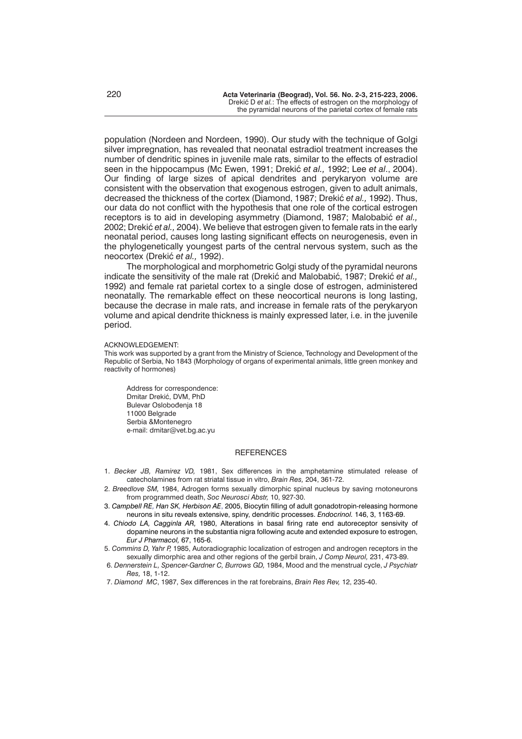population (Nordeen and Nordeen, 1990). Our study with the technique of Golgi silver impregnation, has revealed that neonatal estradiol treatment increases the number of dendritic spines in juvenile male rats, similar to the effects of estradiol seen in the hippocampus (Mc Ewen, 1991; Drekić et al., 1992; Lee *et al.*, 2004). Our finding of large sizes of apical dendrites and perykaryon volume are consistent with the observation that exogenous estrogen, given to adult animals, decreased the thickness of the cortex (Diamond, 1987; Drekić *et al.*, 1992). Thus, our data do not conflict with the hypothesis that one role of the cortical estrogen receptors is to aid in developing asymmetry (Diamond, 1987; Malobabić et al., 2002; Drekić et al., 2004). We believe that estrogen given to female rats in the early neonatal period, causes long lasting significant effects on neurogenesis, even in the phylogenetically youngest parts of the central nervous system, such as the neocortex (Drekić et al., 1992).

The morphological and morphometric Golgi study of the pyramidal neurons indicate the sensitivity of the male rat (Drekić and Malobabić, 1987; Drekić et al., 1992) and female rat parietal cortex to a single dose of estrogen, administered neonatally. The remarkable effect on these neocortical neurons is long lasting, because the decrase in male rats, and increase in female rats of the perykaryon volume and apical dendrite thickness is mainly expressed later, i.e. in the juvenile period.

#### ACKNOWLEDGEMENT:

This work was supported by a grant from the Ministry of Science, Technology and Development of the Republic of Serbia, No 1843 (Morphology of organs of experimental animals, little green monkey and reactivity of hormones)

Address for correspondence: Dmitar Drekić, DVM, PhD Bulevar Oslobođenja 18 11000 Belgrade Serbia &Montenegro e-mail: dmitar@vet.bg.ac.vu

#### **REFERENCES**

- 1. *Becker JB, Ramirez VD,* 1981, Sex differences in the amphetamine stimulated release of catecholamines from rat striatal tissue in vitro, *Brain Res,* 204, 361-72.
- 2. *Breedlove SM,* 1984, Adrogen forms sexually dimorphic spinal nucleus by saving rnotoneurons from programmed death, *Soc Neurosci Abstr,* 10, 927-30.
- 3. *Campbell RE, Han SK, Herbison AE*, 2005, Biocytin filling of adult gonadotropin-releasing hormone neurons in situ reveals extensive, spiny, dendritic processes. *Endocrinol.* 146, 3, 1163-69.
- 4. *Chiodo LA, Cagginla AR,* 1980, Alterations in basal firing rate end autoreceptor sensivity of dopamine neurons in the substantia nigra following acute and extended exposure to estrogen, *Eur J Pharmacol,* 67, 165-6.
- 5. *Commins D, Yahr P,* 1985, Autoradiographic localization of estrogen and androgen receptors in the sexually dimorphic area and other regions of the gerbil brain, *J Comp Neurol,* 231, 473-89.
- 6. *Dennerstein L, Spencer-Gardner C, Burrows GD,* 1984, Mood and the menstrual cycle, *J Psychiatr Res,* 18, 1-12.
- 7. *Diamond MC*, 1987, Sex differences in the rat forebrains, *Brain Res Rev,* 12, 235-40.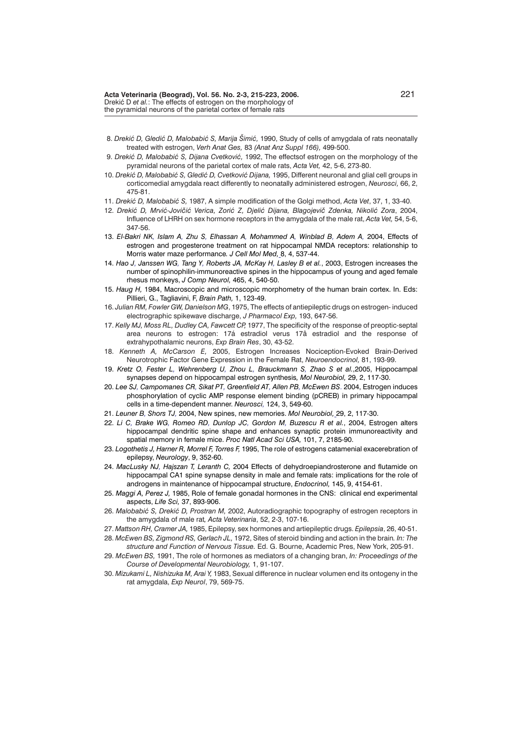- 8. *Drekić D, Gledić D, Malobabić S, Marija Šimić, 1990*, Study of cells of amygdala of rats neonatally treated with estrogen, *Verh Anat Ges,* 83 *(Anat Anz Suppl 166),* 499-500.
- 9. *Drekić D, Malobabić S, Dijana Cvetković*, 1992, The effectsof estrogen on the morphology of the pyramidal neurons of the parietal cortex of male rats, *Acta Vet,* 42, 5-6, 273-80.
- 10. *Drekić D, Malobabić S, Gledić D, Cvetković Dijana,* 1995, Different neuronal and glial cell groups in corticomedial amygdala react differently to neonatally administered estrogen, *Neurosci,* 66, 2, 475-81.
- 11. *Dreki} D, Malobabi} S,* 1987, A simple modification of the Golgi method, *Acta Vet*, 37, 1, 33-40.
- 12. Drekić D, Mrvić-Jovičić Verica, Zorić Z, Djelić Dijana, Blagojevič Zdenka, Nikolić Zora, 2004, Influence of LHRH on sex hormone receptors in the amygdala of the male rat, *Acta Vet,* 54, 5-6, 347-56.
- 13. *El-Bakri NK, Islam A, Zhu S, Elhassan A, Mohammed A, Winblad B, Adem A,* 2004, Effects of estrogen and progesterone treatment on rat hippocampal NMDA receptors: relationship to Morris water maze performance*. J Cell Mol Med,* 8, 4, 537-44.
- 14. *Hao J, Janssen WG, Tang Y, Roberts JA, McKay H, Lasley B et al.*, 2003, Estrogen increases the number of spinophilin-immunoreactive spines in the hippocampus of young and aged female rhesus monkeys, *J Comp Neurol,* 465, 4, 540-50.
- 15. *Haug H,* 1984, Macroscopic and microscopic morphometry of the human brain cortex. In. Eds: Pillieri, G., Tagliavini, F, *Brain Path,* 1, 123-49.
- 16. *Julian RM, Fowler GW, Danielson MG*, 1975, The effects of antiepileptic drugs on estrogen- induced electrographic spikewave discharge, *J Pharmacol Exp,* 193, 647-56.
- 17. *Kelly MJ, Moss RL, Dudley CA, Fawcett CP,* 1977, The specificity of the response of preoptic-septal area neurons to estrogen: 17á estradiol verus 17â estradiol and the response of extrahypothalamic neurons, *Exp Brain Res*, 30, 43-52.
- 18. *Kenneth A, McCarson E,* 2005, Estrogen Increases Nociception-Evoked Brain-Derived Neurotrophic Factor Gene Expression in the Female Rat, *Neuroendocrinol,* 81, 193-99.
- 19. *Kretz O, Fester L, Wehrenberg U, Zhou L, Brauckmann S, Zhao S et al.*,2005, Hippocampal synapses depend on hippocampal estrogen synthesis*, Mol Neurobiol,* 29, 2, 117-30.
- 20. *Lee SJ, Campomanes CR, Sikat PT, Greenfield AT, Allen PB, McEwen BS*. 2004, Estrogen induces phosphorylation of cyclic AMP response element binding (pCREB) in primary hippocampal cells in a time-dependent manner. *Neurosci,* 124, 3, 549-60.
- 21. *Leuner B, Shors TJ,* 2004, New spines, new memories. *Mol Neurobiol,* 29, 2, 117-30.
- 22. *Li C, Brake WG, Romeo RD, Dunlop JC, Gordon M, Buzescu R et al.*, 2004, Estrogen alters hippocampal dendritic spine shape and enhances synaptic protein immunoreactivity and spatial memory in female mice. *Proc Natl Acad Sci USA,* 101, 7, 2185-90.
- 23. *Logothetis J, Harner R, Morrel F, Torres F,* 1995, The role of estrogens catamenial exacerebration of epilepsy, *Neurology*, 9, 352-60.
- 24. *MacLusky NJ, Hajszan T, Leranth C,* 2004 Effects of dehydroepiandrosterone and flutamide on hippocampal CA1 spine synapse density in male and female rats: implications for the role of androgens in maintenance of hippocampal structure, *Endocrinol,* 145, 9, 4154-61.
- 25. *Maggi A, Perez J,* 1985, Role of female gonadal hormones in the CNS: clinical end experimental aspects, *Life Sci,* 37, 893-906.
- 26. Malobabić S, Drekić D, Prostran M, 2002, Autoradiographic topography of estrogen receptors in the amygdala of male rat*, Acta Veterinaria*, 52, 2-3, 107-16.
- 27. *Mattson RH, Cramer JA,* 1985, Epilepsy, sex hormones and artiepileptic drugs. *Epilepsia*, 26, 40-51.
- 28. *McEwen BS, Zigmond RS, Gerlach JL,* 1972, Sites of steroid binding and action in the brain*. In: The structure and Function of Nervous Tissue.* Ed. G. Bourne, Academic Pres, New York, 205-91.
- 29. *McEwen BS,* 1991, The role of hormones as mediators of a changing bran, *In: Proceedings of the Course of Developmental Neurobiology,* 1, 91-107.
- 30. *Mizukami L, Nishizuka M, Arai Y,* 1983, Sexual difference in nuclear volumen end its ontogeny in the rat amygdala, *Exp Neurol*, 79, 569-75.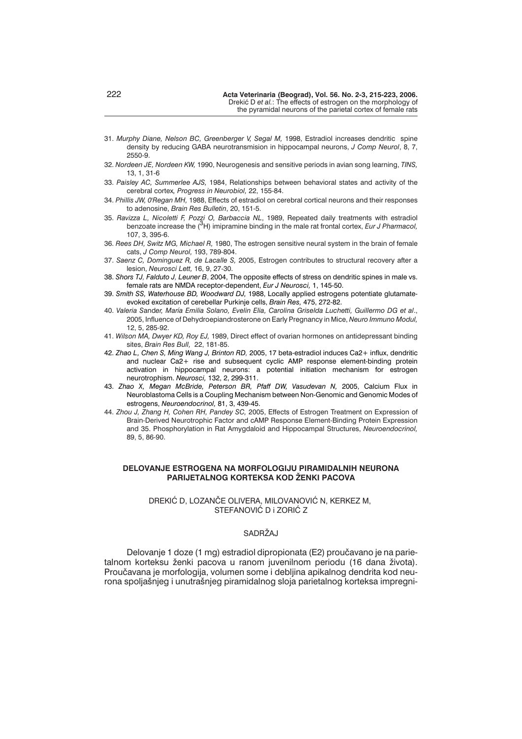- 31. *Murphy Diane, Nelson BC, Greenberger V, Segal M,* 1998, Estradiol increases dendritic spine density by reducing GABA neurotransmision in hippocampal neurons, *J Comp Neurol*, 8, 7, 2550-9.
- 32. *Nordeen JE, Nordeen KW,* 1990, Neurogenesis and sensitive periods in avian song learning, *TINS,* 13, 1, 31-6
- 33. *Paisley AC, Summerlee AJS,* 1984, Relationships between behavioral states and activity of the cerebral cortex*, Progress in Neurobiol,* 22, 155-84.
- 34. *Phillis JW, 0'Regan MH,* 1988, Effects of estradiol on cerebral cortical neurons and their responses to adenosine, *Brain Res Bulletin*, 20, 151-5.
- 35. *Ravizza L, Nicoletti F, Pozzi O, Barbaccia NL*, 1989, Repeated daily treatments with estradiol benzoate increase the (3H) imipramine binding in the male rat frontal cortex, *Eur J Pharmacol,* 107, 3, 395-6.
- 36. *Rees DH, Switz MG, Michael R,* 1980, The estrogen sensitive neural system in the brain of female cats, *J Comp Neurol,* 193, 789-804.
- 37. *Saenz C, Dominguez R, de Lacalle S,* 2005, Estrogen contributes to structural recovery after a lesion, *Neurosci Lett,* 16, 9, 27-30.
- 38. *Shors TJ, Falduto J, Leuner B*, 2004, The opposite effects of stress on dendritic spines in male vs. female rats are NMDA receptor-dependent, *Eur J Neurosci,* 1, 145-50.
- 39. *Smith SS, Waterhouse BD, Woodward DJ,* 1988, Locally applied estrogens potentiate glutamateevoked excitation of cerebellar Purkinje cells, *Brain Res,* 475, 272-82.
- 40. *Valeria S*and*er, María Emilia Solano, Evelin Elia, Carolina Griselda Luchetti, Guillermo DG et al*., 2005, Influence of Dehydroepiandrosterone on Early Pregnancy in Mice, *Neuro Immuno Modul,* 12, 5, 285-92.
- 41. *Wilson MA, Dwyer KD, Roy EJ,* 1989, Direct effect of ovarian hormones on antidepressant binding sites, *Brain Res Bull,* 22, 181-85.
- 42. *Zhao L, Chen S, Ming Wang J, Brinton RD,* 2005, 17 beta-estradiol induces Ca2+ influx, dendritic and nuclear Ca2+ rise and subsequent cyclic AMP response element-binding protein activation in hippocampal neurons: a potential initiation mechanism for estrogen neurotrophism. *Neurosci,* 132, 2, 299-311.
- 43. *Zhao X, Megan McBride, Peterson BR, Pfaff DW, Vasudevan N,* 2005, Calcium Flux in Neuroblastoma Cells is a Coupling Mechanism between Non-Genomic and Genomic Modes of estrogens, *Neuroendocrinol,* 81, 3, 439-45.
- 44. *Zhou J, Zhang H, Cohen RH, Pandey SC,* 2005, Effects of Estrogen Treatment on Expression of Brain-Derived Neurotrophic Factor and cAMP Response Element-Binding Protein Expression and 35. Phosphorylation in Rat Amygdaloid and Hippocampal Structures, *Neuroendocrinol,* 89, 5, 86-90.

## **DELOVANJE ESTROGENA NA MORFOLOGIJU PIRAMIDALNIH NEURONA PARIJETALNOG KORTEKSA KOD ŽENKI PACOVA**

### DREKIĆ D, LOZANČE OLIVERA, MILOVANOVIĆ N, KERKEZ M, STEFANOVIĆ D i ZORIĆ Z

# SADRŽAJ

Delovanie 1 doze (1 mg) estradiol dipropionata (E2) proučavano je na parietalnom korteksu ženki pacova u ranom juvenilnom periodu (16 dana života). Proučavana je morfologija, volumen some i debljina apikalnog dendrita kod neurona spoljašnjeg i unutrašnjeg piramidalnog sloja parietalnog korteksa impregni